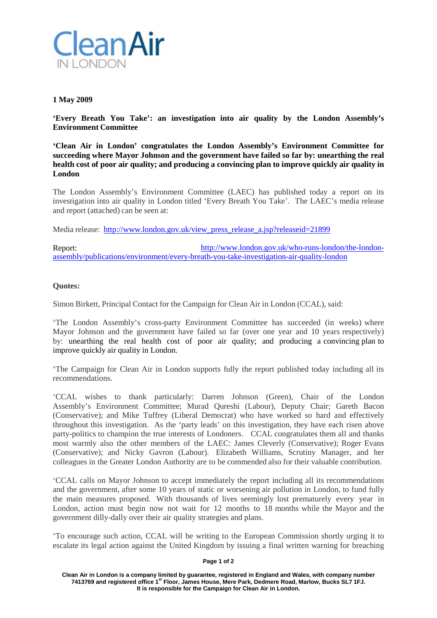

# **1 May 2009**

**'Every Breath You Take': an investigation into air quality by the London Assembly's Environment Committee**

**'Clean Air in London' congratulates the London Assembly's Environment Committee for succeeding where Mayor Johnson and the government have failed so far by: unearthing the real health cost of poor air quality; and producing a convincing plan to improve quickly air quality in London**

The London Assembly's Environment Committee (LAEC) has published today a report on its investigation into air quality in London titled 'Every Breath You Take'. The LAEC's media release and report (attached) can be seen at:

Media release: [http://www.london.gov.uk/view\\_press\\_release\\_a.jsp?releaseid=21899](http://www.london.gov.uk/view_press_release_a.jsp?releaseid=21899)

Report: [http://www.london.gov.uk/who-runs-london/the-london](http://www.london.gov.uk/who-runs-london/the-london-assembly/publications/environment/every-breath-you-take-investigation-air-quality-london)[assembly/publications/environment/every-breath-you-take-investigation-air-quality-london](http://www.london.gov.uk/who-runs-london/the-london-assembly/publications/environment/every-breath-you-take-investigation-air-quality-london)

## **Quotes:**

Simon Birkett, Principal Contact for the Campaign for Clean Air in London (CCAL), said:

'The London Assembly's cross-party Environment Committee has succeeded (in weeks) where Mayor Johnson and the government have failed so far (over one year and 10 years respectively) by: unearthing the real health cost of poor air quality; and producing a convincing plan to improve quickly air quality in London.

'The Campaign for Clean Air in London supports fully the report published today including all its recommendations.

'CCAL wishes to thank particularly: Darren Johnson (Green), Chair of the London Assembly's Environment Committee; Murad Qureshi (Labour), Deputy Chair; Gareth Bacon (Conservative); and Mike Tuffrey (Liberal Democrat) who have worked so hard and effectively throughout this investigation. As the 'party leads' on this investigation, they have each risen above party-politics to champion the true interests of Londoners. CCAL congratulates them all and thanks most warmly also the other members of the LAEC: James Cleverly (Conservative); Roger Evans (Conservative); and Nicky Gavron (Labour). Elizabeth Williams, Scrutiny Manager, and her colleagues in the Greater London Authority are to be commended also for their valuable contribution.

'CCAL calls on Mayor Johnson to accept immediately the report including all its recommendations and the government, after some 10 years of static or worsening air pollution in London, to fund fully the main measures proposed. With thousands of lives seemingly lost prematurely every year in London, action must begin now not wait for 12 months to 18 months while the Mayor and the government dilly-dally over their air quality strategies and plans.

'To encourage such action, CCAL will be writing to the European Commission shortly urging it to escalate its legal action against the United Kingdom by issuing a final written warning for breaching

#### **Page 1 of 2**

**Clean Air in London is a company limited by guarantee, registered in England and Wales, with company number 7413769 and registered office 1st Floor, James House, Mere Park, Dedmere Road, Marlow, Bucks SL7 1FJ. It is responsible for the Campaign for Clean Air in London.**